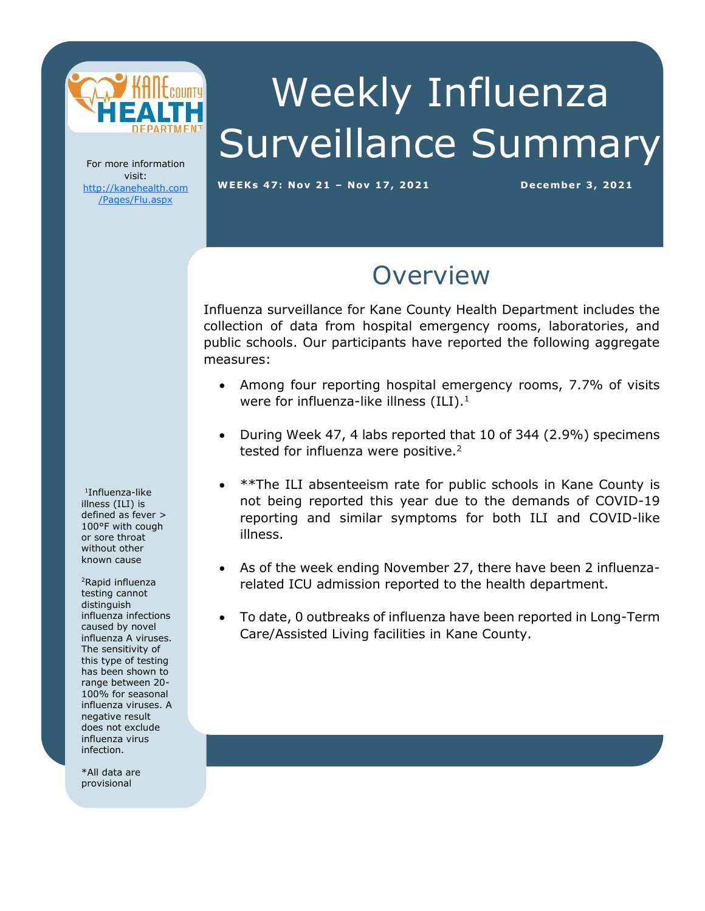

# Weekly Influenza Surveillance Summary

For more information visit: [http://kanehealth.com](http://kanehealth.com/Pages/Flu.aspx) [/Pages/Flu.aspx](http://kanehealth.com/Pages/Flu.aspx)

**WEEKs 47: Nov 2 1 – Nov 17, 2 0 2 1 De cembe r 3, 2 0 2 1**

data that make this monitoring possible.

#### **Overview**

Influenza surveillance for Kane County Health Department includes the collection of data from hospital emergency rooms, laboratories, and public schools. Our participants have reported the following aggregate measures:

- Among four reporting hospital emergency rooms, 7.7% of visits were for influenza-like illness  $(ILI).<sup>1</sup>$
- During Week 47, 4 labs reported that 10 of 344 (2.9%) specimens tested for influenza were positive.<sup>2</sup>
- \*\*The ILI absenteeism rate for public schools in Kane County is not being reported this year due to the demands of COVID-19 reporting and similar symptoms for both ILI and COVID-like illness.
- As of the week ending November 27, there have been 2 influenzarelated ICU admission reported to the health department.
- To date, 0 outbreaks of influenza have been reported in Long-Term Care/Assisted Living facilities in Kane County.

1 Influenza-like illness (ILI) is defined as fever > 100°F with cough or sore throat without other known cause

<sup>2</sup>Rapid influenza testing cannot distinguish influenza infections caused by novel influenza A viruses. The sensitivity of this type of testing has been shown to range between 20- 100% for seasonal influenza viruses. A negative result does not exclude influenza virus infection.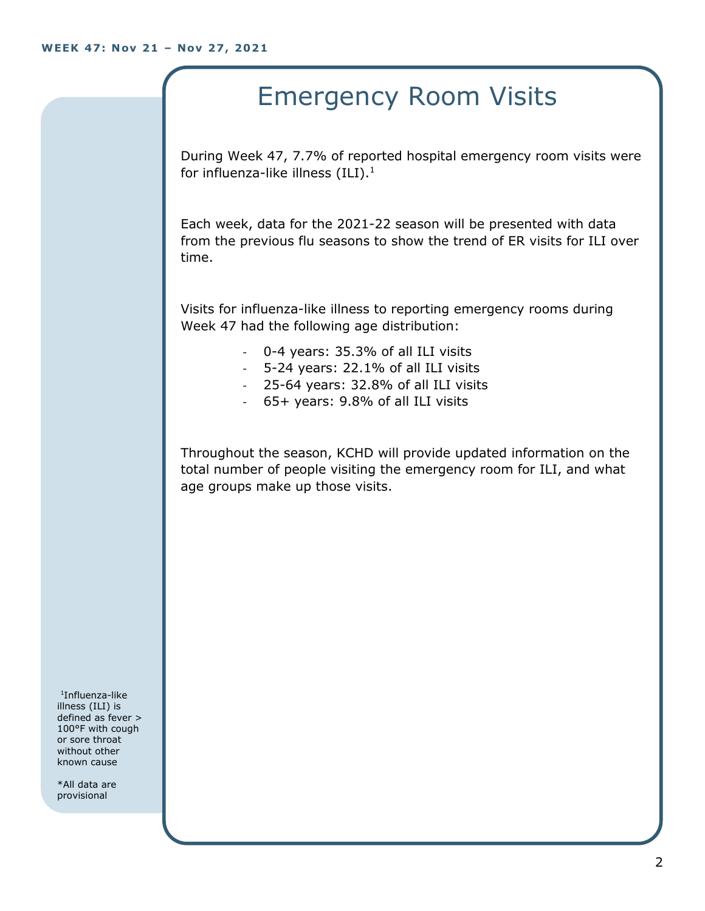# Emergency Room Visits

During Week 47, 7.7% of reported hospital emergency room visits were for influenza-like illness  $(III).<sup>1</sup>$ 

Each week, data for the 2021-22 season will be presented with data from the previous flu seasons to show the trend of ER visits for ILI over time.

Visits for influenza-like illness to reporting emergency rooms during Week 47 had the following age distribution:

- 0-4 years: 35.3% of all ILI visits
- 5-24 years: 22.1% of all ILI visits
- 25-64 years: 32.8% of all ILI visits
- 65+ years: 9.8% of all ILI visits

Throughout the season, KCHD will provide updated information on the total number of people visiting the emergency room for ILI, and what age groups make up those visits.

1 Influenza-like illness (ILI) is defined as fever > 100°F with cough or sore throat without other known cause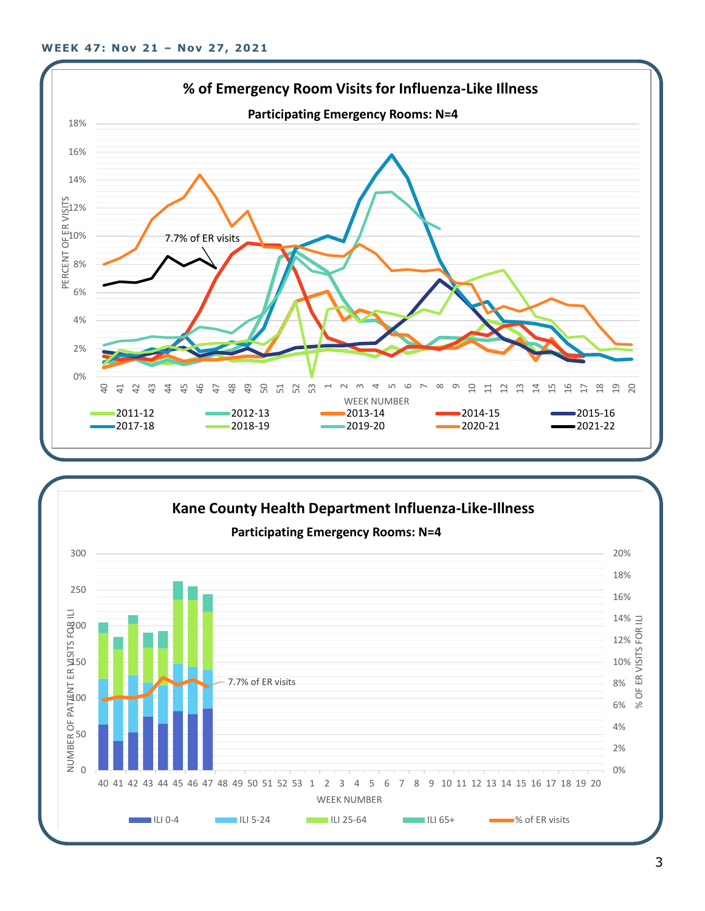

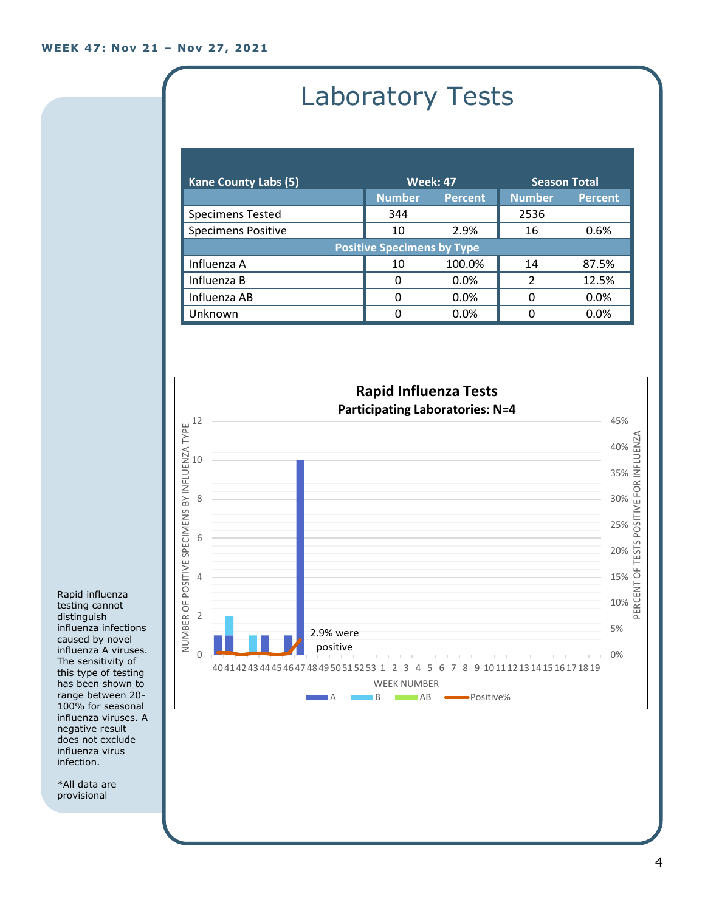# Laboratory Tests

| <b>Kane County Labs (5)</b>       | <b>Week: 47</b> |                | <b>Season Total</b> |                |
|-----------------------------------|-----------------|----------------|---------------------|----------------|
|                                   | <b>Number</b>   | <b>Percent</b> | <b>Number</b>       | <b>Percent</b> |
| <b>Specimens Tested</b>           | 344             |                | 2536                |                |
| <b>Specimens Positive</b>         | 10              | 2.9%           | 16                  | 0.6%           |
| <b>Positive Specimens by Type</b> |                 |                |                     |                |
| Influenza A                       | 10              | 100.0%         | 14                  | 87.5%          |
| Influenza B                       | 0               | 0.0%           | $\mathfrak z$       | 12.5%          |
| Influenza AB                      | O               | 0.0%           | 0                   | 0.0%           |
| Unknown                           | 0               | 0.0%           |                     | 0.0%           |



Rapid influenza testing cannot distinguish influenza infections caused by novel influenza A viruses. The sensitivity of this type of testing has been shown to range between 20- 100% for seasonal influenza viruses. A negative result does not exclude influenza virus infection.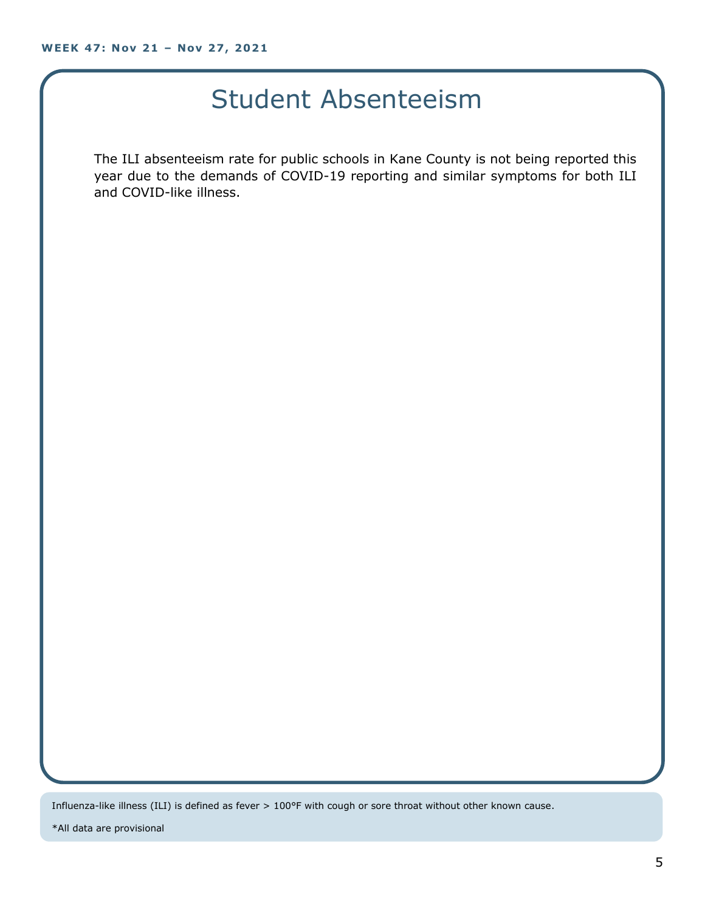### Student Absenteeism

The ILI absenteeism rate for public schools in Kane County is not being reported this year due to the demands of COVID-19 reporting and similar symptoms for both ILI and COVID-like illness.

Influenza-like illness (ILI) is defined as fever > 100°F with cough or sore throat without other known cause.